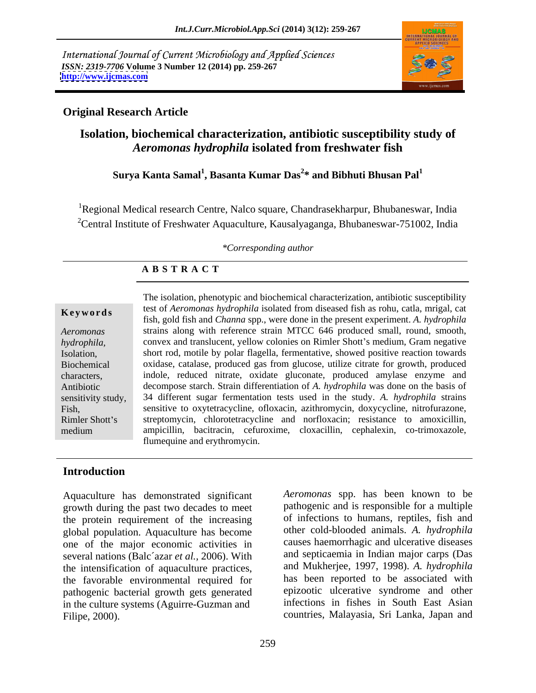International Journal of Current Microbiology and Applied Sciences *ISSN: 2319-7706* **Volume 3 Number 12 (2014) pp. 259-267 <http://www.ijcmas.com>**



# **Original Research Article**

# **Isolation, biochemical characterization, antibiotic susceptibility study of**  *Aeromonas hydrophila* **isolated from freshwater fish**

# **Surya Kanta Samal<sup>1</sup> , Basanta Kumar Das<sup>2</sup> \* and Bibhuti Bhusan Pal<sup>1</sup>**

<sup>1</sup>Regional Medical research Centre, Nalco square, Chandrasekharpur, Bhubaneswar, India <sup>2</sup>Central Institute of Freshwater Aquaculture, Kausalyaganga, Bhubaneswar-751002, India

### *\*Corresponding author*

### **A B S T R A C T**

**Keywords**test of *Aeromonas hydrophila* isolated from diseased fish as rohu, catla, mrigal, cat *Aeromonas*  strains along with reference strain MTCC 646 produced small, round, smooth, *hydrophila*, convex and translucent, yellow colonies on Rimler Shott's medium, Gram negative Isolation, short rod, motile by polar flagella, fermentative, showed positive reaction towards Biochemical oxidase, catalase, produced gas from glucose, utilize citrate for growth, produced characters, indole, reduced nitrate, oxidate gluconate, produced amylase enzyme and Antibiotic decompose starch. Strain differentiation of *A. hydrophila* was done on the basis of sensitivity study, 34 different sugar fermentation tests used in the study. *A. hydrophila* strains Fish, sensitive to oxytetracycline, ofloxacin, azithromycin, doxycycline, nitrofurazone, Rimler Shott's streptomycin, chlorotetracycline and norfloxacin; resistance to amoxicillin, medium ampicillin, bacitracin, cefuroxime, cloxacillin, cephalexin, co-trimoxazole, The isolation, phenotypic and biochemical characterization, antibiotic susceptibility fish, gold fish and *Channa* spp., were done in the present experiment. *A. hydrophila* flumequine and erythromycin.

### **Introduction**

Aquaculture has demonstrated significant growth during the past two decades to meet the protein requirement of the increasing global population. Aquaculture has become one of the major economic activities in several nations (Balc´azar *et al.,* 2006). With the intensification of aquaculture practices, the favorable environmental required for pathogenic bacterial growth gets generated in the culture systems (Aguirre-Guzman and Filipe, 2000). countries, Malayasia, Sri Lanka, Japan and

*Aeromonas* spp. has been known to be pathogenic and is responsible for a multiple of infections to humans, reptiles, fish and other cold-blooded animals. *A. hydrophila* causes haemorrhagic and ulcerative diseases and septicaemia in Indian major carps (Das and Mukherjee, 1997, 1998). *A. hydrophila* has been reported to be associated with epizootic ulcerative syndrome and other infections in fishes in South East Asian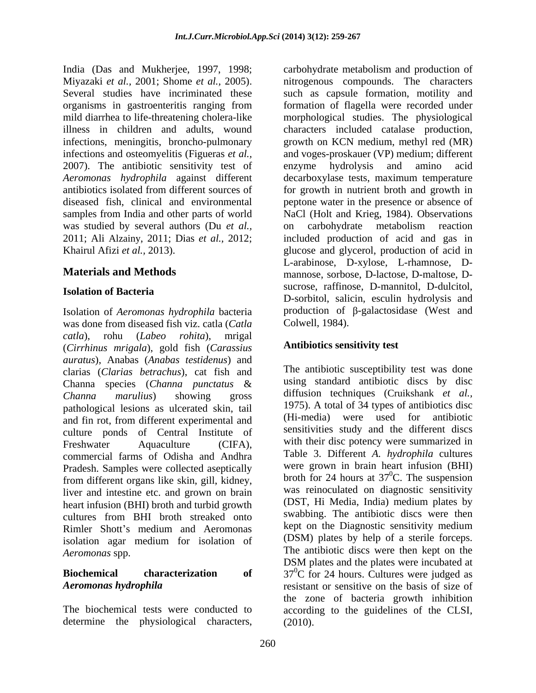India (Das and Mukherjee, 1997, 1998; carbohydrate metabolism and production of 2007). The antibiotic sensitivity test of enzyme hydrolysis and amino acid was studied by several authors (Du *et al.*, on carbohydrate metabolism reaction 2011; Ali Alzainy, 2011; Dias *et al.,* 2012;

Isolation of *Aeromonas hydrophila* bacteria was done from diseased fish viz. catla (*Catla catla*), rohu (*Labeo rohita*), mrigal (*Cirrhinus mrigala*), gold fish (*Carassius auratus*), Anabas (*Anabas testidenus*) and clarias (*Clarias betrachus*), cat fish and Channa species (*Channa punctatus* & *Channa marulius*) showing gross diffusion techniques (Cruikshank *et al.,* pathological lesions as ulcerated skin, tail and the pathological lesions as ulcerated skin, tail and the pathological versus of the pathological experimental and (Hi-media) were used for antibiotic and fin rot, from different experimental and culture ponds of Central Institute of Freshwater Aquaculture (CIFA), with their disc potency were summarized in commercial farms of Odisha and Andhra Pradesh. Samples were collected aseptically from different organs like skin, gill, kidney, liver and intestine etc. and grown on brain heart infusion (BHI) broth and turbid growth cultures from BHI broth streaked onto<br>
Rimler Shott's medium and Aeromonas and Republic of Diagnostic sensitivity medium Rimler Shott's medium and Aeromonas being the Diagnostic sensitivity medium isolation agar medium for isolation of (DSM) plates by help of a sterile forceps. *Aeromonas* spp. The antibiotic discs were then kept on the

determine the physiological characters,

Miyazaki *et al.,* 2001; Shome *et al.,* 2005). nitrogenous compounds. The characters Several studies have incriminated these such as capsule formation, motility and organisms in gastroenteritis ranging from formation of flagella were recorded under mild diarrhea to life-threatening cholera-like morphological studies. The physiological illness in children and adults, wound characters included catalase production, infections, meningitis, broncho-pulmonary growth on KCN medium, methyl red (MR) infections and osteomyelitis (Figueras *et al.,* and voges-proskauer (VP) medium; different *Aeromonas hydrophila* against different decarboxylase tests, maximum temperature antibiotics isolated from different sources of for growth in nutrient broth and growth in diseased fish, clinical and environmental peptone water in the presence or absence of samples from India and other parts of world NaCl (Holt and Krieg, 1984). Observations Khairul Afizi *et al.*, 2013). The glucose and glycerol, production of acid in **Materials and Methods**  mannose, sorbose, D-lactose, D-maltose, D- **Isolation of Bacteria Isolation of Bacteria Isolation Isolation I**solation **I**solation **I**solation **I**solation **I**solation **I**solation **I**solation **I**solation **I**solation **I**solation **I**solation **I**solation enzyme hydrolysis and amino acid on carbohydrate metabolism reaction included production of acid and gas in L-arabinose, D-xylose, L-rhamnose, D sucrose, raffinose, D-mannitol, D-dulcitol, D-sorbitol, salicin, esculin hydrolysis and production of  $\beta$ -galactosidase (West and Colwell, 1984).

### **Antibiotics sensitivity test**

**Biochemical characterization** of  $37^{\circ}$ C for 24 hours. Cultures were judged as *Aeromonas hydrophila* resistant or sensitive on the basis of size of The biochemical tests were conducted to according to the guidelines of the CLSI, The antibiotic susceptibility test was done using standard antibiotic discs by disc 1975). A total of 34 types of antibiotics disc  $(Hi$ -media) were used for sensitivities study and the different discs Table 3. Different *A. hydrophila* cultures were grown in brain heart infusion (BHI) broth for 24 hours at  $37^{\circ}$ C. The suspension  ${}^{0}C$ . The suspension was reinoculated on diagnostic sensitivity (DST, Hi Media, India) medium plates by swabbing. The antibiotic discs were then kept on the Diagnostic sensitivity medium (DSM) plates by help of <sup>a</sup> sterile forceps. The antibiotic discs were then kept on the DSM plates and the plates were incubated at the zone of bacteria growth inhibition (2010).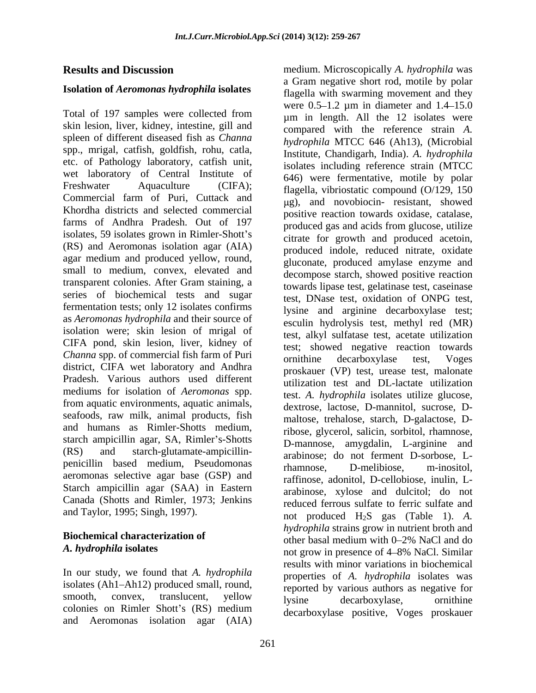### **Isolation of** *Aeromonas hydrophila* **isolates**

Total of 197 samples were collected from skin lesion, liver, kidney, intestine, gill and spleen of different diseased fish as *Channa*  spp., mrigal, catfish, goldfish, rohu, catla, etc. of Pathology laboratory, catfish unit, wet laboratory of Central Institute of Commercial farm of Puri, Cuttack and Khordha districts and selected commercial farms of Andhra Pradesh. Out of 197 isolates, 59 isolates grown in Rimler-Shott's (RS) and Aeromonas isolation agar (AIA) agar medium and produced yellow, round, small to medium, convex, elevated and transparent colonies. After Gram staining, a series of biochemical tests and sugar fermentation tests; only 12 isolates confirms as *Aeromonas hydrophila* and their source of isolation were; skin lesion of mrigal of CIFA pond, skin lesion, liver, kidney of *Channa* spp. of commercial fish farm of Puri<br>
ornithine decarboxylase test, Voges district, CIFA wet laboratory and Andhra Pradesh. Various authors used different mediums for isolation of *Aeromonas* spp. from aquatic environments, aquatic animals, seafoods, raw milk, animal products, fish and humans as Rimler-Shotts medium, starch ampicillin agar, SA, Rimler's-Shotts penicillin based medium, Pseudomonas hamnose, D-melibiose, m-inositol, aeromonas selective agar base (GSP) and Starch ampicillin agar (SAA) in Eastern Canada (Shotts and Rimler, 1973; Jenkins

# *A. hydrophila* **isolates**

In our study, we found that *A. hydrophila* isolates (Ah1-Ah12) produced small, round, and Aeromonas isolation agar (AIA)

**Results and Discussion**  medium. Microscopically *A. hydrophila* was Freshwater Aquaculture (CIFA); flagella, vibriostatic compound (O/129, 150 (RS) and starch-glutamate-ampicillin- arabinose; do not ferment D-sorbose, Land Taylor, 1995; Singh, 1997).  $\qquad \qquad \text{not} \qquad \text{produced} \qquad H_2S \qquad \text{gas} \qquad \text{(Table 1).} \qquad A.$ **Biochemical characterization of**  $\omega$  other basal medium with 0–2% NaCl and do smooth, convex, translucent, yellow  $\frac{1}{\sqrt{2}}$  decarboxylase ornithine  $\alpha$ colonies on Rimler Shott's  $(RS)$  medium a Gram negative short rod, motile by polar flagella with swarming movement and they were  $0.5-1.2$  µm in diameter and  $1.4-15.0$ µm in length. All the 12 isolates were compared with the reference strain *A. hydrophila* MTCC 646 (Ah13), (Microbial Institute, Chandigarh, India). *A. hydrophila* isolates including reference strain (MTCC 646) were fermentative, motile by polar g), and novobiocin- resistant, showed positive reaction towards oxidase, catalase, produced gas and acids from glucose, utilize citrate for growth and produced acetoin, produced indole, reduced nitrate, oxidate gluconate, produced amylase enzyme and decompose starch, showed positive reaction towards lipase test, gelatinase test, caseinase test, DNase test, oxidation of ONPG test, lysine and arginine decarboxylase test; esculin hydrolysis test, methyl red (MR) test, alkyl sulfatase test, acetate utilization test; showed negative reaction towards ornithine decarboxylase test, Voges proskauer (VP) test, urease test, malonate utilization test and DL-lactate utilization test. *A. hydrophila* isolates utilize glucose, dextrose, lactose, D-mannitol, sucrose, D maltose, trehalose, starch, D-galactose, Dribose, glycerol, salicin, sorbitol, rhamnose, D-mannose, amygdalin, L-arginine and rhamnose, D-melibiose, m-inositol, raffinose, adonitol, D-cellobiose, inulin, L arabinose, xylose and dulcitol; do not reduced ferrous sulfate to ferric sulfate and *hydrophila* strains grow in nutrient broth and other basal medium with 0–2% NaCl and do not grow in presence of 4–8% NaCl. Similar results with minor variations in biochemical properties of *A. hydrophila* isolates was reported by various authors as negative for lysine decarboxylase, ornithine decarboxylase positive, Voges proskauer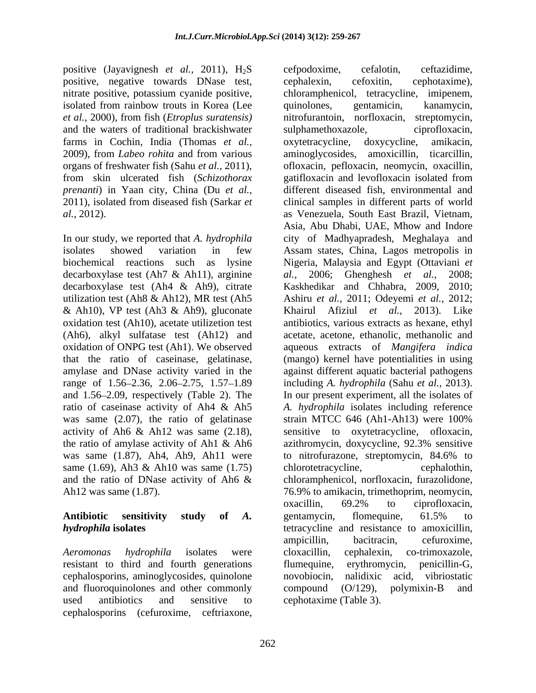positive (Jayavignesh *et al.*, 2011), H<sub>2</sub>S cefpodoxime, cefalotin, ceftazidime, positive, negative towards DNase test, cephalexin, cefoxitin, cephotaxime), isolated from rainbow trouts in Korea (Lee quinolones, gentamicin, kanamycin, *et al.,* 2000), from fish (*Etroplus suratensis)* and the waters of traditional brackishwater sulphamethoxazole, ciprofloxacin, farms in Cochin, India (Thomas *et al.,* 2009), from *Labeo rohita* and from various organs of freshwater fish (Sahu *et al.,* 2011), from skin ulcerated fish (*Schizothorax prenanti*) in Yaan city, China (Du *et al.,*

decarboxylase test (Ah7 & Ah11), arginine al., 2006; Ghenghesh et al., 2008; & Ah10), VP test (Ah3 & Ah9), gluconate Khairul Afiziul et al., 2013). Like (Ah6), alkyl sulfatase test (Ah12) and was same  $(2.07)$ , the ratio of gelating strain MTCC 646 (Ah1-Ah13) were  $100\%$ the ratio of amylase activity of Ah1 & Ah6 azithromycin, doxycycline, 92.3% sensitive same (1.69), Ah3 & Ah10 was same (1.75) chlorotetracycline, cephalothin, and the ratio of DNase activity of Ah6 & chloramphenicol, norfloxacin, furazolidone,

resistant to third and fourth generations flumequine, erythromycin, penicillin-G, cephalosporins, aminoglycosides, quinolone and fluoroquinolones and other commonly compound (O/129), polymixin-B and cephalosporins (cefuroxime, ceftriaxone,

nitrate positive, potassium cyanide positive, chloramphenicol, tetracycline, imipenem, 2011), isolated from diseased fish (Sarkar *et*  clinical samples in different parts of world *al.,* 2012).<br> **as Venezuela, South East Brazil, Vietnam,**<br>
Asia, Abu Dhabi, UAE, Mhow and Indore<br>
In our study, we reported that *A. hydrophila* city of Madhyapradesh, Meghalaya and isolates showed variation in few Assam states, China, Lagos metropolis in biochemical reactions such as lysine Nigeria, Malaysia and Egypt (Ottaviani *et*  decarboxylase test (Ah4 & Ah9), citrate Kaskhedikar and Chhabra, 2009, 2010; utilization test (Ah8 & Ah12), MR test (Ah5 Ashiru *et al.,* 2011; Odeyemi *et al.,* 2012; oxidation test (Ah10), acetate utilizetion test antibiotics, various extracts as hexane, ethyl oxidation of ONPG test (Ah1). We observed aqueous extracts of *Mangifera indica* that the ratio of caseinase, gelatinase, (mango) kernel have potentialities in using amylase and DNase activity varied in the against different aquatic bacterial pathogens range of 1.56 2.36, 2.06 2.75, 1.57 1.89 including *A. hydrophila* (Sahu *et al.,* 2013). and 1.56 2.09, respectively (Table 2). The In our present experiment, all the isolates of ratio of caseinase activity of Ah4 & Ah5 *A. hydrophila* isolates including reference activity of Ah6 & Ah12 was same (2.18), sensitive to oxytetracycline, ofloxacin, was same (1.87), Ah4, Ah9, Ah11 were to nitrofurazone, streptomycin, 84.6% to and the ratio of DNase activity of Ah6 & chloramphenicol, norfloxacin, furazolidone, Ah12 was same (1.87). 76.9% to amikacin, trimethoprim, neomycin, **Antibiotic sensitivity study of** *A. hydrophila* **isolates** tetracycline and resistance to amoxicillin, *Aeromonas hydrophila* isolates were used antibiotics and sensitive to cephotaxime (Table 3). cefpodoxime, cefalotin, ceftazidime, cephalexin, cefoxitin, cephotaxime), quinolones, gentamicin, kanamycin, nitrofurantoin, norfloxacin, sulphamethoxazole, oxytetracycline, doxycycline, amikacin, aminoglycosides, amoxicillin, ofloxacin, pefloxacin, neomycin, oxacillin, gatifloxacin and levofloxacin isolated from different diseased fish, environmental and as Venezuela, South East Brazil, Vietnam, Asia, Abu Dhabi, UAE, Mhow and Indore city of Madhyapradesh, Meghalaya and *al.,* 2006; Ghenghesh *et al.,* 2008; Khairul Afiziul *et al.,* 2013). Like acetate, acetone, ethanolic, methanolic and strain MTCC 646 (Ah1-Ah13) were 100% azithromycin, doxycycline, 92.3% sensitive chlorotetracycline, oxacillin, 69.2% to ciprofloxacin, gentamycin, flomequine, 61.5% to ampicillin, bacitracin, cefuroxime, cloxacillin, cephalexin, co-trimoxazole, flumequine, erythromycin, penicillin-G, nalidixic acid, vibriostatic compound (O/129), polymixin-B and cephotaxime (Table 3).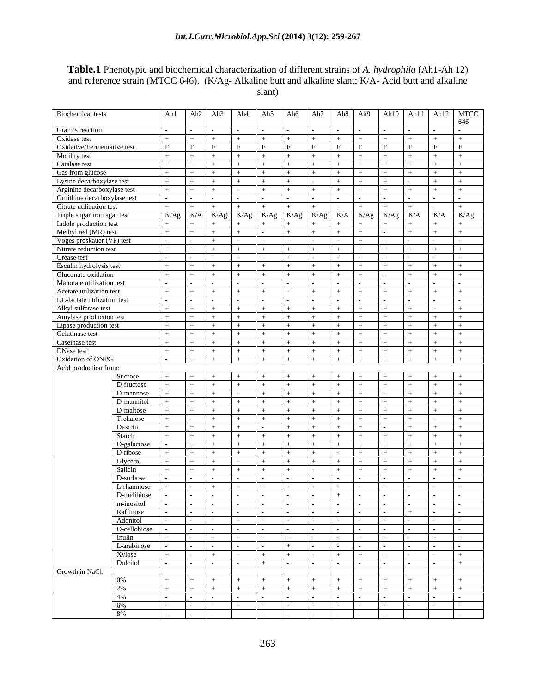### **Table.1** Phenotypic and biochemical characterization of different strains of *A. hydrophila* (Ah1-Ah 12) and reference strain (MTCC 646). (K/Ag- Alkaline butt and alkaline slant; K/A- Acid butt and alkaline slant)

| <b>Biochemical tests</b>     |                              |              |                                   |                                        |               |              | $\vert$ Ah1 $\vert$ Ah2 $\vert$ Ah3 $\vert$ Ah4 $\vert$ Ah5 $\vert$ Ah6 $\vert$ Ah7 $\vert$ Ah8 $\vert$ Ah9 $\vert$ Ah10 $\vert$ Ah11 $\vert$ Ah12 $\vert$ MTCC<br>646 |
|------------------------------|------------------------------|--------------|-----------------------------------|----------------------------------------|---------------|--------------|------------------------------------------------------------------------------------------------------------------------------------------------------------------------|
| Gram's reaction              |                              |              |                                   |                                        |               |              |                                                                                                                                                                        |
| Oxidase test                 | $+$ $-$                      |              |                                   |                                        |               |              |                                                                                                                                                                        |
| Oxidative/Fermentative test  | F                            |              |                                   |                                        |               |              |                                                                                                                                                                        |
| Motility test                | $+$ $+$                      |              |                                   | $+$                                    |               |              | $+$                                                                                                                                                                    |
| Catalase test                | $+$ $+$                      |              |                                   | $+$                                    |               |              | $+$<br>$+$                                                                                                                                                             |
| Gas from glucose             | $+$ $+$                      |              |                                   |                                        |               |              | $+$<br>$+$                                                                                                                                                             |
| Lysine decarboxylase test    | $+$ $+$                      |              |                                   |                                        |               |              |                                                                                                                                                                        |
|                              |                              |              |                                   |                                        |               |              |                                                                                                                                                                        |
| Arginine decarboxylase test  | $+$ $+$                      |              | $+$                               | $+$                                    |               |              | $+$<br>$+$                                                                                                                                                             |
| Ornithine decarboxylase test | .                            |              |                                   |                                        |               |              |                                                                                                                                                                        |
| Citrate utilization test     | $+$ $+$                      |              |                                   |                                        |               |              | $+$                                                                                                                                                                    |
| Triple sugar iron agar test  |                              | $K/Ag$ $K/A$ |                                   | K/Ag   K/Ag   K/Ag   K/Ag   K/A   K/Ag |               | $K/Ag$ $K/A$ | $K/A$ $K/Ag$                                                                                                                                                           |
| Indole production test       | $+$ $+$                      |              |                                   |                                        |               |              |                                                                                                                                                                        |
| Methyl red (MR) test         | $+$ $+$                      |              |                                   | $+$<br>$+$                             | $+$<br>$+$    | $+$          | $+$<br>$+$                                                                                                                                                             |
| Voges proskauer (VP) test    |                              |              |                                   |                                        |               |              |                                                                                                                                                                        |
| Nitrate reduction test       | $+$ $+$                      |              |                                   |                                        |               |              |                                                                                                                                                                        |
| Urease test                  |                              |              |                                   |                                        |               |              |                                                                                                                                                                        |
|                              |                              |              |                                   |                                        |               |              |                                                                                                                                                                        |
| Esculin hydrolysis test      | $+$ $+$                      |              |                                   | $+$                                    |               |              | $+$<br>$+$                                                                                                                                                             |
| Gluconate oxidation          | $+$ $+$                      |              | $+$                               | $+$<br>$+$                             | $+$           |              | $+$<br>$+$                                                                                                                                                             |
| Malonate utilization test    |                              |              |                                   |                                        |               |              |                                                                                                                                                                        |
| Acetate utilization test     | $+$ $+$                      |              |                                   |                                        |               |              | $+$                                                                                                                                                                    |
| DL-lactate utilization test  |                              |              |                                   |                                        |               |              |                                                                                                                                                                        |
| Alkyl sulfatase test         | $+$ $+$                      |              |                                   |                                        |               |              | $+$                                                                                                                                                                    |
| Amylase production test      | $+$ $+$                      |              |                                   |                                        |               |              |                                                                                                                                                                        |
| Lipase production test       | $+$ $+$                      |              |                                   |                                        |               |              |                                                                                                                                                                        |
| Gelatinase test              | $+$ $+$                      |              |                                   |                                        |               |              | $+$                                                                                                                                                                    |
| Caseinase test               | $+$ $+$                      |              |                                   | $+$                                    |               |              | $+$<br>$\perp$                                                                                                                                                         |
| DNase test                   | $+$ $+$                      |              |                                   |                                        |               |              |                                                                                                                                                                        |
|                              |                              |              |                                   |                                        |               |              |                                                                                                                                                                        |
| Oxidation of ONPG            |                              | $ +$         | $+$ $+$                           | $+$                                    |               |              | $+$<br>$+$                                                                                                                                                             |
| Acid production from:        |                              |              |                                   |                                        |               |              |                                                                                                                                                                        |
|                              | Sucrose<br>$+$ $+$           |              | $\frac{1}{2}$                     | $+$<br>$+$                             |               | $+$          | $+$<br>$+$                                                                                                                                                             |
|                              | D-fructose                   |              |                                   |                                        |               |              | $+$                                                                                                                                                                    |
|                              | D-mannose                    |              |                                   |                                        |               |              |                                                                                                                                                                        |
|                              | D-mannitol                   |              |                                   |                                        |               |              |                                                                                                                                                                        |
|                              | D-maltose<br>$+$             |              | $+$                               | $+$                                    |               |              | $+$<br>$+$ $-$                                                                                                                                                         |
|                              | Trehalose<br>$+$             |              |                                   | $+$                                    |               |              | $+$                                                                                                                                                                    |
|                              | Dextrin<br>$+$               |              |                                   |                                        |               |              | $+$<br>$\perp$                                                                                                                                                         |
|                              | Starch                       |              |                                   |                                        |               |              |                                                                                                                                                                        |
|                              | D-galactose                  | $+$          | $+$                               | $+$<br>$+$                             |               |              | $+$<br>$+$                                                                                                                                                             |
|                              |                              |              |                                   |                                        |               |              |                                                                                                                                                                        |
|                              | D-ribose<br>$+$ $+$          |              | $+$                               | $+$<br>$+$                             |               |              | $+$<br>$\perp$                                                                                                                                                         |
|                              | Glycerol<br><b>TELESCOPE</b> |              |                                   | <b>T</b>                               |               |              | $\mathbf{L}$                                                                                                                                                           |
|                              | Salicin                      |              |                                   | $+$                                    |               |              | $+$                                                                                                                                                                    |
|                              | D-sorbose                    |              |                                   |                                        |               |              |                                                                                                                                                                        |
|                              | L-rhamnose                   | $+$          |                                   |                                        |               |              |                                                                                                                                                                        |
|                              | D-melibiose                  |              |                                   |                                        |               |              |                                                                                                                                                                        |
|                              | m-inositol                   |              |                                   |                                        |               |              |                                                                                                                                                                        |
|                              | Raffinose                    |              | and the state of the state of the |                                        |               | $+$          |                                                                                                                                                                        |
|                              | Adonitol                     |              | and the state of the state of the |                                        |               |              |                                                                                                                                                                        |
|                              | D-cellobiose                 |              |                                   |                                        |               |              |                                                                                                                                                                        |
|                              |                              |              |                                   |                                        |               |              |                                                                                                                                                                        |
|                              | Inulin                       |              |                                   |                                        |               |              |                                                                                                                                                                        |
|                              | L-arabinose                  |              |                                   | $+$                                    |               |              |                                                                                                                                                                        |
|                              | Xylose<br>$+$ $ -$           | $+$          | $+$ $+$                           |                                        | $+$ $+$       |              | $+$                                                                                                                                                                    |
|                              | Dulcitol                     |              | $+$                               |                                        |               |              |                                                                                                                                                                        |
| Growth in NaCl:              |                              |              |                                   |                                        |               |              |                                                                                                                                                                        |
|                              | 0%<br>$+$ $+$                | $+$          | $+$ $+$                           | $+$<br>$+$                             | $+$ $+$       |              |                                                                                                                                                                        |
|                              | $+$                          |              | $+$ $+$                           | $+$<br>$+$                             | $\frac{1}{2}$ |              | $+$<br>$\pm$                                                                                                                                                           |
|                              | 4%                           |              |                                   |                                        |               |              |                                                                                                                                                                        |
|                              | 6%                           |              |                                   |                                        |               |              |                                                                                                                                                                        |
|                              | 8%                           |              |                                   |                                        |               |              |                                                                                                                                                                        |
|                              |                              |              |                                   |                                        |               |              |                                                                                                                                                                        |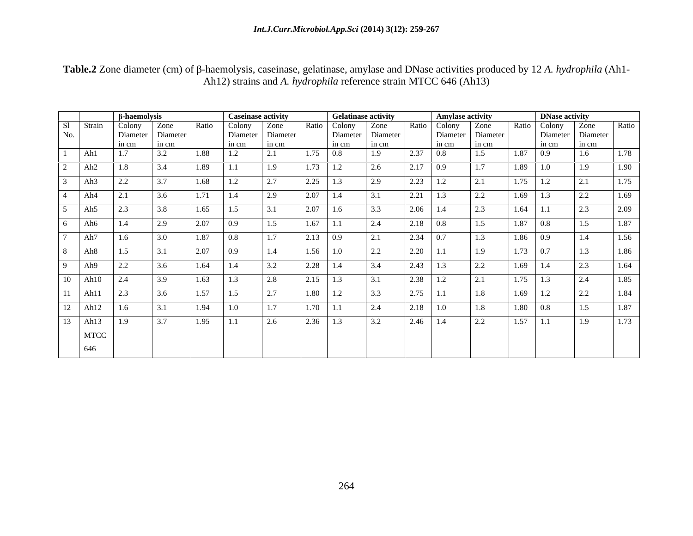|              |                       | ß-haemolvsi       |            | <b>Caseinase activity</b><br>Colony Zone |                   | Ratio             | <b>Gelatinase activity</b><br>Colony Zone |                  | <b>Amylase activity</b><br>Colony Zone |                                                            | <b>DNase activity</b>      | Ratio    |
|--------------|-----------------------|-------------------|------------|------------------------------------------|-------------------|-------------------|-------------------------------------------|------------------|----------------------------------------|------------------------------------------------------------|----------------------------|----------|
|              | Sl Strain Colony Zone |                   | Ratio      |                                          |                   |                   |                                           | Ratio            |                                        | Ratio I                                                    | Colony Zone                |          |
| No.          | Diameter              | Diameter          |            | Diameter<br>in cm                        | Diameter<br>in cm | Diameter<br>in cm | Diameter<br>in cm                         |                  | Diameter<br>Diameteı<br>in cm<br>in cm | in cm                                                      | Diameter                   | Diameter |
|              | Ah1                   | $\vert 3.2 \vert$ | 1.88       | 1.2                                      | $\vert 2.1 \vert$ | $1.75 \t 0.8$     | $\vert$ 1.9                               | $2.37 \t 0.8$    | $\vert$ 1.5                            | $1.87 \t 0.9$                                              | $\frac{\text{in cm}}{1.6}$ | 1.78     |
|              |                       |                   |            |                                          |                   |                   |                                           |                  |                                        |                                                            |                            |          |
|              | Ah2<br>$\vert$ 1.8    | $\vert 3.4 \vert$ | 1.89       | $\vert$ 1.1                              | $\frac{1}{2}$ 1.9 | $1.73$ 1.2        | 2.6                                       | $2.17 \quad 0.9$ |                                        | $1.7$ $1.89$ $1.0$ $1.9$                                   |                            | 1.90     |
|              | 2.2<br>Ah3            | 3.7               | 1.68       | 1.2                                      | 2.7               | $2.25$ 1.3        | 2.9                                       | $2.23$ 1.2       | 2.1                                    | $1.75$ 1.2                                                 | 2.1                        | 1.75     |
|              |                       |                   |            |                                          |                   |                   |                                           |                  |                                        |                                                            |                            |          |
|              | Ah4 $\vert$ 2.1       | 3.6               | 1.71       | $\vert$ 1.4                              | $\sqrt{2.9}$      | $2.07$ 1.4        | 3.1                                       | $2.21$   1.3     | 2.2                                    | $1.69$ 1.3                                                 | 2.2                        | 1.69     |
|              | Ah5                   | $\vert 3.8 \vert$ | 1.65       | 1.5                                      | 3.1               | $2.07$ 1.6        | $\vert 3.3 \vert$                         | $2.06$ 1.4       | $\vert 2.3 \vert$                      | $\begin{array}{ c c c c c } \hline 1.64 & 1.1 \end{array}$ |                            | 2 U C    |
|              | Ah6                   |                   | 2.07       | $\mid$ 0.9                               | 1.5               | $1.67$ 1.1        | $\sqrt{2.4}$                              | $2.18$ 0.8       | 1.5                                    | 1.87 0.8                                                   | 1.5                        | 1.87     |
|              |                       |                   |            |                                          |                   |                   |                                           |                  |                                        |                                                            |                            |          |
|              | Ah7 1.6               | 3.0               | 1.87       | $\mid 0.8 \mid$                          | 1.7               | $2.13 \quad 0.9$  | 2.1                                       | $2.34 \quad 0.7$ | 1.3                                    | $1.86 \t 0.9$                                              | $\vert$ 1.4                | 1.56     |
|              | 8 Ah <sub>8</sub> 1.5 | 3.1               | 2.07       | $\vert 0.9 \vert$                        | $\vert$ 1.4       | $1.56$ 1.0        | 2.2                                       | $2.20 \t 1.1$    | 1.9                                    | $1.73 \t 0.7$                                              | 1.3                        | 1.86     |
|              |                       |                   |            |                                          |                   |                   |                                           |                  |                                        |                                                            |                            |          |
|              | 9 $Alb9$ 2.2          | 3.6               | 1.64       | $\vert$ 1.4                              | 3.2               | $2.28$   1.4      | $\vert 3.4 \vert$                         | $2.43$   1.3     | 12.2                                   | $1.69$ 1.4                                                 | 2.3                        | 1.64     |
|              | $10$ Ah $10$ 2.4      | 3.9               | 1.63       | 1.3                                      | 2.8               | $2.15$   1.3      | 3.1                                       | $2.38$ 1.2       | $\vert 2.1 \vert$                      | $1.75$ 1.3                                                 | 2.4                        | 1.85     |
| $11$ Ah $11$ | 2.3                   | $\vert 3.6 \vert$ | 1.57       | 1.5                                      | 2.7               | $1.80$ 1.2        | 3.3                                       | $2.75$ 1.1       | $\vert$ 1.8                            | $1.69$ 1.2                                                 | $\vert 2.2 \vert$          | 1.84     |
|              |                       |                   |            |                                          |                   |                   |                                           |                  |                                        |                                                            |                            |          |
|              | $12$ Ah $12$ 1.6      | $\vert 3.1 \vert$ | $1.94$ 1.0 |                                          | 1.7               | $1.70$ 1.1        | $\vert 2.4 \vert$                         | $2.18$ 1.0       | 1.8                                    | $1.80 \pm 0.8$                                             | $\vert$ 1.5                | 1.87     |
|              | 13 Ah13 1.9           | 3.7               | $1.95$ 1.1 |                                          | 2.6               | $2.36$ 1.3        | 3.2                                       | $2.46$ 1.4       | 2.2                                    | $1.57$ 1.1                                                 | 1.9                        | 1.73     |
|              | <b>MTCC</b>           |                   |            |                                          |                   |                   |                                           |                  |                                        |                                                            |                            |          |
|              |                       |                   |            |                                          |                   |                   |                                           |                  |                                        |                                                            |                            |          |
|              | 646                   |                   |            |                                          |                   |                   |                                           |                  |                                        |                                                            |                            |          |

Table.2 Zone diameter (cm) of  $\beta$ -haemolysis, caseinase, gelatinase, amylase and DNase activities produced by 12 *A. hydrophila* (Ah1-Ah12) strains and *A. hydrophila* reference strain MTCC 646 (Ah13)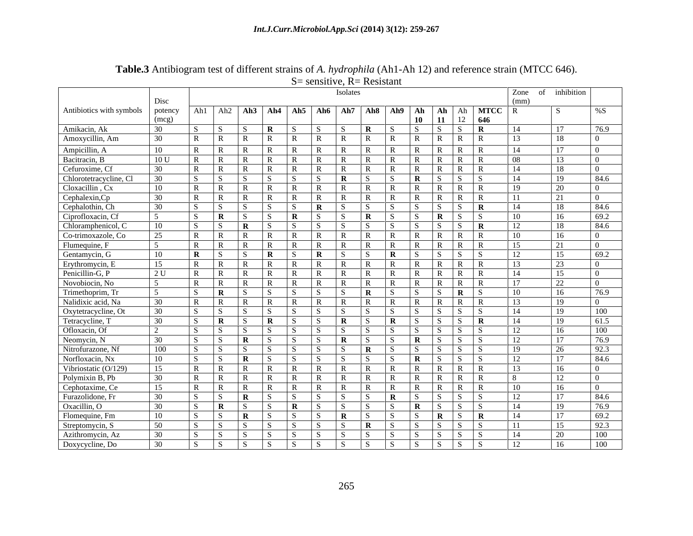| Disc<br>Antibiotics with symbols   potency<br>  Ah1   Ah2   Ah3   Ah4   Ah5   Ah6   Ah7   Ah8   Ah9   Ah   Ah   Ah   MTCC   R<br>% $S$<br>IS.<br><b>10</b><br>$\vert$ 11 $\vert$ 12<br>646<br>(mcg)<br>30<br>76.9<br>IS IS IR IS IS IR IS IR IS IS IS IR<br>17<br>$\vert$ 14<br>30-<br>R<br>$10-10$<br>$R \mid R$<br>$\overline{R}$<br>$R \mid R$<br>$\overline{R}$<br>17<br>$\Omega$<br>IR.<br>10U<br>$\mathbf{R}$<br>R<br>R<br>$\mathbf{R}$<br>R<br>$\overline{R}$<br>_በՋ<br>$\mathbf{R}$<br>$\overline{R}$<br>13<br>$\Omega$<br>$30 -$<br>IR IR<br>IRIRIRIRIRIRIRIRI<br>$\overline{R}$<br>  18<br>$\Omega$<br>14<br>84.6<br>30.<br>$S \cup S$<br>-S-<br>$\overline{R}$<br>∣S.<br>- 8<br>IS.<br>- IS -<br>10 <sup>1</sup><br>$R$ R<br>$R$ R<br>IR IR IR<br>ാവ<br>IR.<br>$\overline{R}$ $\overline{R}$<br>- 19<br>$\Omega$<br>$R \mid R$<br>$30 -$<br>$R$ R<br>$\overline{R}$ $\overline{R}$<br>$\overline{R}$ $\overline{R}$ $\overline{R}$<br>0<br>84.6<br>-S-<br>IS.<br>⊢S.<br>$R$ S<br>69.2<br>$\overline{R}$<br>$\overline{S}$<br>$S^+$<br>- S<br>84.6<br>Chloramphenicol, C<br>∣R<br>16<br>$\Omega$<br>Flumequine, F<br>$\Omega$<br>$\mathbb{R}$<br>$\overline{R}$<br>R<br>$\overline{R}$<br>-15<br>69.2<br>10 <sup>1</sup><br>$\mathbf{R}$<br>15<br>Erythromycin, E<br>15<br>$\Omega$<br>2 U<br>Penicillin-G, P<br>$R \Box$<br>R<br>$\overline{R}$<br>$R$ $\mid$ $R$<br>IR IR IR<br>- 14<br>15<br>$\Omega$<br>22<br>Novobiocin, No<br>- R<br>R<br>$\overline{R}$<br>$\overline{R}$<br>$\overline{R}$<br>IR.<br>Trimethoprim, Ti<br>$\overline{R}$<br>16<br>76.9<br>$\mathcal{S}$<br>$\overline{S}$<br>1 S I<br>Nalidixic acid, Na<br>30.<br>$\overline{R}$<br>$\mathbb{R}$<br>$\overline{R}$<br>R R<br>$\Omega$<br>R<br>Oxytetracycline, Ot<br>100<br>-S<br>∣S.<br>IS.<br>61.5<br>Tetracycline, T<br>$30^{\circ}$<br>$\mathbf{S}$ and $\mathbf{S}$<br>$\mathbf{R}$<br>$\overline{S}$ $\overline{S}$<br>- 14<br>$\overline{\phantom{a}}$<br>- 19<br>100<br>Ofloxacin. Of<br>$\overline{S}$ $\overline{S}$<br>$\overline{S}$ $\overline{S}$<br>$\overline{S}$ $\overline{S}$ $\overline{S}$<br>$\perp$ 12<br>16<br>76.9<br>Neomycin, N<br>$30 -$<br>$\begin{array}{c c} S & S \end{array}$<br>$\overline{R}$<br>12 <sub>1</sub><br>17<br>- R<br>S.<br>$\overline{S}$ $\overline{S}$<br>92.3<br>Nitrofurazone, Nf<br>100<br>$\begin{array}{c} \text{S} \\ \text{S} \end{array}$<br>$R$ $\vert$ S $\vert$ S<br>$\overline{S}$ $\overline{S}$ $\overline{S}$<br>19<br>26<br>$\overline{S}$<br>$\overline{\mathbf{S}}$ is<br>$\sim$ $\sim$ $\sim$<br>Norfloxacin, Nx<br>10 <sup>1</sup><br>$S \cup S$<br>$\begin{array}{c c c c c} \hline \end{array}$ $\begin{array}{c c c c} \hline \end{array}$<br>12 <sub>1</sub><br>84.6<br>- R<br>$\begin{array}{c} \n\text{IS} \\ \text{IS}\n\end{array}$<br>$\overline{S}$ $\overline{S}$<br>Vibriostatic (O/129)<br>$R \mid R$<br>$\overline{R}$<br>R<br>$\overline{R}$<br>RR<br>16<br>IR.<br>Polymixin B, Pb<br>$30 -$<br>$R$ R<br>$R$ $R$<br>$\overline{R}$ $\overline{R}$ $\overline{R}$<br>12 <sup>1</sup><br>$\overline{R}$ $\overline{R}$<br>$\mathbf{R}$<br>$\Omega$<br>Cephotaxime, Ce<br>$\mathbb{R}$<br>$\overline{R}$<br>$\overline{R}$<br>R<br>$\overline{R}$<br>R<br>12<br>84.6<br>Furazolidone, Fr<br>30.<br>$\mathbf{S}$<br>17<br>$\mathbf{C}$<br>$\overline{\mathbf{S}}$<br>76.9<br>30<br>Oxacillin, O<br>$S \cup$<br>$\mathbf{R}$<br>$\overline{S}$<br>$\overline{\mathbf{R}}$<br>$\overline{S}$<br>- 14<br>- 19<br>69.2<br>Flomequine, Fm<br>92.3<br>50 L<br>Streptomycin, S<br>$\mathcal{S}$<br>$\sqrt{ }$<br>∣S.<br>11<br>15<br>100<br>$\overline{S}$ $\overline{S}$ $\overline{S}$<br>Azithromycin, Az<br>30.<br>$\begin{array}{c c c c c c} \hline \end{array}$ is is<br>  14<br>20<br>IS IS<br>$\overline{S}$ $\overline{S}$<br>$\mathbf{S}$<br>- 82<br>IS IS IS IS IS IS IS IS IS IS IS IS<br>100 |                        |                 |  |  |  | $D$ – Schsittyc, $N$ – Kesistant<br>Isolates |  |  |    | Zone of inhibition |  |
|----------------------------------------------------------------------------------------------------------------------------------------------------------------------------------------------------------------------------------------------------------------------------------------------------------------------------------------------------------------------------------------------------------------------------------------------------------------------------------------------------------------------------------------------------------------------------------------------------------------------------------------------------------------------------------------------------------------------------------------------------------------------------------------------------------------------------------------------------------------------------------------------------------------------------------------------------------------------------------------------------------------------------------------------------------------------------------------------------------------------------------------------------------------------------------------------------------------------------------------------------------------------------------------------------------------------------------------------------------------------------------------------------------------------------------------------------------------------------------------------------------------------------------------------------------------------------------------------------------------------------------------------------------------------------------------------------------------------------------------------------------------------------------------------------------------------------------------------------------------------------------------------------------------------------------------------------------------------------------------------------------------------------------------------------------------------------------------------------------------------------------------------------------------------------------------------------------------------------------------------------------------------------------------------------------------------------------------------------------------------------------------------------------------------------------------------------------------------------------------------------------------------------------------------------------------------------------------------------------------------------------------------------------------------------------------------------------------------------------------------------------------------------------------------------------------------------------------------------------------------------------------------------------------------------------------------------------------------------------------------------------------------------------------------------------------------------------------------------------------------------------------------------------------------------------------------------------------------------------------------------------------------------------------------------------------------------------------------------------------------------------------------------------------------------------------------------------------------------------------------------------------------------------------------------------------------------------------------------------------------------------------------------------------------------------------------------------------------------------------------------------------------------------------------------------------------------------------------------------------------|------------------------|-----------------|--|--|--|----------------------------------------------|--|--|----|--------------------|--|
|                                                                                                                                                                                                                                                                                                                                                                                                                                                                                                                                                                                                                                                                                                                                                                                                                                                                                                                                                                                                                                                                                                                                                                                                                                                                                                                                                                                                                                                                                                                                                                                                                                                                                                                                                                                                                                                                                                                                                                                                                                                                                                                                                                                                                                                                                                                                                                                                                                                                                                                                                                                                                                                                                                                                                                                                                                                                                                                                                                                                                                                                                                                                                                                                                                                                                                                                                                                                                                                                                                                                                                                                                                                                                                                                                                                                                                                                      |                        |                 |  |  |  |                                              |  |  |    |                    |  |
|                                                                                                                                                                                                                                                                                                                                                                                                                                                                                                                                                                                                                                                                                                                                                                                                                                                                                                                                                                                                                                                                                                                                                                                                                                                                                                                                                                                                                                                                                                                                                                                                                                                                                                                                                                                                                                                                                                                                                                                                                                                                                                                                                                                                                                                                                                                                                                                                                                                                                                                                                                                                                                                                                                                                                                                                                                                                                                                                                                                                                                                                                                                                                                                                                                                                                                                                                                                                                                                                                                                                                                                                                                                                                                                                                                                                                                                                      |                        |                 |  |  |  |                                              |  |  |    |                    |  |
|                                                                                                                                                                                                                                                                                                                                                                                                                                                                                                                                                                                                                                                                                                                                                                                                                                                                                                                                                                                                                                                                                                                                                                                                                                                                                                                                                                                                                                                                                                                                                                                                                                                                                                                                                                                                                                                                                                                                                                                                                                                                                                                                                                                                                                                                                                                                                                                                                                                                                                                                                                                                                                                                                                                                                                                                                                                                                                                                                                                                                                                                                                                                                                                                                                                                                                                                                                                                                                                                                                                                                                                                                                                                                                                                                                                                                                                                      |                        |                 |  |  |  |                                              |  |  |    |                    |  |
|                                                                                                                                                                                                                                                                                                                                                                                                                                                                                                                                                                                                                                                                                                                                                                                                                                                                                                                                                                                                                                                                                                                                                                                                                                                                                                                                                                                                                                                                                                                                                                                                                                                                                                                                                                                                                                                                                                                                                                                                                                                                                                                                                                                                                                                                                                                                                                                                                                                                                                                                                                                                                                                                                                                                                                                                                                                                                                                                                                                                                                                                                                                                                                                                                                                                                                                                                                                                                                                                                                                                                                                                                                                                                                                                                                                                                                                                      | Amikacin, Ak           |                 |  |  |  |                                              |  |  |    |                    |  |
|                                                                                                                                                                                                                                                                                                                                                                                                                                                                                                                                                                                                                                                                                                                                                                                                                                                                                                                                                                                                                                                                                                                                                                                                                                                                                                                                                                                                                                                                                                                                                                                                                                                                                                                                                                                                                                                                                                                                                                                                                                                                                                                                                                                                                                                                                                                                                                                                                                                                                                                                                                                                                                                                                                                                                                                                                                                                                                                                                                                                                                                                                                                                                                                                                                                                                                                                                                                                                                                                                                                                                                                                                                                                                                                                                                                                                                                                      | Amoxycillin, Am        |                 |  |  |  |                                              |  |  |    |                    |  |
|                                                                                                                                                                                                                                                                                                                                                                                                                                                                                                                                                                                                                                                                                                                                                                                                                                                                                                                                                                                                                                                                                                                                                                                                                                                                                                                                                                                                                                                                                                                                                                                                                                                                                                                                                                                                                                                                                                                                                                                                                                                                                                                                                                                                                                                                                                                                                                                                                                                                                                                                                                                                                                                                                                                                                                                                                                                                                                                                                                                                                                                                                                                                                                                                                                                                                                                                                                                                                                                                                                                                                                                                                                                                                                                                                                                                                                                                      | Ampicillin, A          |                 |  |  |  |                                              |  |  |    |                    |  |
|                                                                                                                                                                                                                                                                                                                                                                                                                                                                                                                                                                                                                                                                                                                                                                                                                                                                                                                                                                                                                                                                                                                                                                                                                                                                                                                                                                                                                                                                                                                                                                                                                                                                                                                                                                                                                                                                                                                                                                                                                                                                                                                                                                                                                                                                                                                                                                                                                                                                                                                                                                                                                                                                                                                                                                                                                                                                                                                                                                                                                                                                                                                                                                                                                                                                                                                                                                                                                                                                                                                                                                                                                                                                                                                                                                                                                                                                      | Bacitracin, B          |                 |  |  |  |                                              |  |  |    |                    |  |
|                                                                                                                                                                                                                                                                                                                                                                                                                                                                                                                                                                                                                                                                                                                                                                                                                                                                                                                                                                                                                                                                                                                                                                                                                                                                                                                                                                                                                                                                                                                                                                                                                                                                                                                                                                                                                                                                                                                                                                                                                                                                                                                                                                                                                                                                                                                                                                                                                                                                                                                                                                                                                                                                                                                                                                                                                                                                                                                                                                                                                                                                                                                                                                                                                                                                                                                                                                                                                                                                                                                                                                                                                                                                                                                                                                                                                                                                      | Cefuroxime, Cf         |                 |  |  |  |                                              |  |  |    |                    |  |
|                                                                                                                                                                                                                                                                                                                                                                                                                                                                                                                                                                                                                                                                                                                                                                                                                                                                                                                                                                                                                                                                                                                                                                                                                                                                                                                                                                                                                                                                                                                                                                                                                                                                                                                                                                                                                                                                                                                                                                                                                                                                                                                                                                                                                                                                                                                                                                                                                                                                                                                                                                                                                                                                                                                                                                                                                                                                                                                                                                                                                                                                                                                                                                                                                                                                                                                                                                                                                                                                                                                                                                                                                                                                                                                                                                                                                                                                      | Chlorotetracycline, Cl |                 |  |  |  |                                              |  |  |    |                    |  |
|                                                                                                                                                                                                                                                                                                                                                                                                                                                                                                                                                                                                                                                                                                                                                                                                                                                                                                                                                                                                                                                                                                                                                                                                                                                                                                                                                                                                                                                                                                                                                                                                                                                                                                                                                                                                                                                                                                                                                                                                                                                                                                                                                                                                                                                                                                                                                                                                                                                                                                                                                                                                                                                                                                                                                                                                                                                                                                                                                                                                                                                                                                                                                                                                                                                                                                                                                                                                                                                                                                                                                                                                                                                                                                                                                                                                                                                                      | Cloxacillin, Cx        |                 |  |  |  |                                              |  |  |    |                    |  |
|                                                                                                                                                                                                                                                                                                                                                                                                                                                                                                                                                                                                                                                                                                                                                                                                                                                                                                                                                                                                                                                                                                                                                                                                                                                                                                                                                                                                                                                                                                                                                                                                                                                                                                                                                                                                                                                                                                                                                                                                                                                                                                                                                                                                                                                                                                                                                                                                                                                                                                                                                                                                                                                                                                                                                                                                                                                                                                                                                                                                                                                                                                                                                                                                                                                                                                                                                                                                                                                                                                                                                                                                                                                                                                                                                                                                                                                                      | Cephalexin, Cp         |                 |  |  |  |                                              |  |  |    |                    |  |
|                                                                                                                                                                                                                                                                                                                                                                                                                                                                                                                                                                                                                                                                                                                                                                                                                                                                                                                                                                                                                                                                                                                                                                                                                                                                                                                                                                                                                                                                                                                                                                                                                                                                                                                                                                                                                                                                                                                                                                                                                                                                                                                                                                                                                                                                                                                                                                                                                                                                                                                                                                                                                                                                                                                                                                                                                                                                                                                                                                                                                                                                                                                                                                                                                                                                                                                                                                                                                                                                                                                                                                                                                                                                                                                                                                                                                                                                      | Cephalothin, Ch        |                 |  |  |  |                                              |  |  |    |                    |  |
|                                                                                                                                                                                                                                                                                                                                                                                                                                                                                                                                                                                                                                                                                                                                                                                                                                                                                                                                                                                                                                                                                                                                                                                                                                                                                                                                                                                                                                                                                                                                                                                                                                                                                                                                                                                                                                                                                                                                                                                                                                                                                                                                                                                                                                                                                                                                                                                                                                                                                                                                                                                                                                                                                                                                                                                                                                                                                                                                                                                                                                                                                                                                                                                                                                                                                                                                                                                                                                                                                                                                                                                                                                                                                                                                                                                                                                                                      | Ciprofloxacin, Cf      |                 |  |  |  |                                              |  |  |    |                    |  |
|                                                                                                                                                                                                                                                                                                                                                                                                                                                                                                                                                                                                                                                                                                                                                                                                                                                                                                                                                                                                                                                                                                                                                                                                                                                                                                                                                                                                                                                                                                                                                                                                                                                                                                                                                                                                                                                                                                                                                                                                                                                                                                                                                                                                                                                                                                                                                                                                                                                                                                                                                                                                                                                                                                                                                                                                                                                                                                                                                                                                                                                                                                                                                                                                                                                                                                                                                                                                                                                                                                                                                                                                                                                                                                                                                                                                                                                                      |                        |                 |  |  |  |                                              |  |  |    |                    |  |
|                                                                                                                                                                                                                                                                                                                                                                                                                                                                                                                                                                                                                                                                                                                                                                                                                                                                                                                                                                                                                                                                                                                                                                                                                                                                                                                                                                                                                                                                                                                                                                                                                                                                                                                                                                                                                                                                                                                                                                                                                                                                                                                                                                                                                                                                                                                                                                                                                                                                                                                                                                                                                                                                                                                                                                                                                                                                                                                                                                                                                                                                                                                                                                                                                                                                                                                                                                                                                                                                                                                                                                                                                                                                                                                                                                                                                                                                      | Co-trimoxazole, Co     |                 |  |  |  |                                              |  |  |    |                    |  |
|                                                                                                                                                                                                                                                                                                                                                                                                                                                                                                                                                                                                                                                                                                                                                                                                                                                                                                                                                                                                                                                                                                                                                                                                                                                                                                                                                                                                                                                                                                                                                                                                                                                                                                                                                                                                                                                                                                                                                                                                                                                                                                                                                                                                                                                                                                                                                                                                                                                                                                                                                                                                                                                                                                                                                                                                                                                                                                                                                                                                                                                                                                                                                                                                                                                                                                                                                                                                                                                                                                                                                                                                                                                                                                                                                                                                                                                                      |                        |                 |  |  |  |                                              |  |  |    |                    |  |
|                                                                                                                                                                                                                                                                                                                                                                                                                                                                                                                                                                                                                                                                                                                                                                                                                                                                                                                                                                                                                                                                                                                                                                                                                                                                                                                                                                                                                                                                                                                                                                                                                                                                                                                                                                                                                                                                                                                                                                                                                                                                                                                                                                                                                                                                                                                                                                                                                                                                                                                                                                                                                                                                                                                                                                                                                                                                                                                                                                                                                                                                                                                                                                                                                                                                                                                                                                                                                                                                                                                                                                                                                                                                                                                                                                                                                                                                      | Gentamycin, G          |                 |  |  |  |                                              |  |  |    |                    |  |
|                                                                                                                                                                                                                                                                                                                                                                                                                                                                                                                                                                                                                                                                                                                                                                                                                                                                                                                                                                                                                                                                                                                                                                                                                                                                                                                                                                                                                                                                                                                                                                                                                                                                                                                                                                                                                                                                                                                                                                                                                                                                                                                                                                                                                                                                                                                                                                                                                                                                                                                                                                                                                                                                                                                                                                                                                                                                                                                                                                                                                                                                                                                                                                                                                                                                                                                                                                                                                                                                                                                                                                                                                                                                                                                                                                                                                                                                      |                        |                 |  |  |  |                                              |  |  |    |                    |  |
|                                                                                                                                                                                                                                                                                                                                                                                                                                                                                                                                                                                                                                                                                                                                                                                                                                                                                                                                                                                                                                                                                                                                                                                                                                                                                                                                                                                                                                                                                                                                                                                                                                                                                                                                                                                                                                                                                                                                                                                                                                                                                                                                                                                                                                                                                                                                                                                                                                                                                                                                                                                                                                                                                                                                                                                                                                                                                                                                                                                                                                                                                                                                                                                                                                                                                                                                                                                                                                                                                                                                                                                                                                                                                                                                                                                                                                                                      |                        |                 |  |  |  |                                              |  |  |    |                    |  |
|                                                                                                                                                                                                                                                                                                                                                                                                                                                                                                                                                                                                                                                                                                                                                                                                                                                                                                                                                                                                                                                                                                                                                                                                                                                                                                                                                                                                                                                                                                                                                                                                                                                                                                                                                                                                                                                                                                                                                                                                                                                                                                                                                                                                                                                                                                                                                                                                                                                                                                                                                                                                                                                                                                                                                                                                                                                                                                                                                                                                                                                                                                                                                                                                                                                                                                                                                                                                                                                                                                                                                                                                                                                                                                                                                                                                                                                                      |                        |                 |  |  |  |                                              |  |  |    |                    |  |
|                                                                                                                                                                                                                                                                                                                                                                                                                                                                                                                                                                                                                                                                                                                                                                                                                                                                                                                                                                                                                                                                                                                                                                                                                                                                                                                                                                                                                                                                                                                                                                                                                                                                                                                                                                                                                                                                                                                                                                                                                                                                                                                                                                                                                                                                                                                                                                                                                                                                                                                                                                                                                                                                                                                                                                                                                                                                                                                                                                                                                                                                                                                                                                                                                                                                                                                                                                                                                                                                                                                                                                                                                                                                                                                                                                                                                                                                      |                        |                 |  |  |  |                                              |  |  |    |                    |  |
|                                                                                                                                                                                                                                                                                                                                                                                                                                                                                                                                                                                                                                                                                                                                                                                                                                                                                                                                                                                                                                                                                                                                                                                                                                                                                                                                                                                                                                                                                                                                                                                                                                                                                                                                                                                                                                                                                                                                                                                                                                                                                                                                                                                                                                                                                                                                                                                                                                                                                                                                                                                                                                                                                                                                                                                                                                                                                                                                                                                                                                                                                                                                                                                                                                                                                                                                                                                                                                                                                                                                                                                                                                                                                                                                                                                                                                                                      |                        |                 |  |  |  |                                              |  |  |    |                    |  |
|                                                                                                                                                                                                                                                                                                                                                                                                                                                                                                                                                                                                                                                                                                                                                                                                                                                                                                                                                                                                                                                                                                                                                                                                                                                                                                                                                                                                                                                                                                                                                                                                                                                                                                                                                                                                                                                                                                                                                                                                                                                                                                                                                                                                                                                                                                                                                                                                                                                                                                                                                                                                                                                                                                                                                                                                                                                                                                                                                                                                                                                                                                                                                                                                                                                                                                                                                                                                                                                                                                                                                                                                                                                                                                                                                                                                                                                                      |                        |                 |  |  |  |                                              |  |  |    |                    |  |
|                                                                                                                                                                                                                                                                                                                                                                                                                                                                                                                                                                                                                                                                                                                                                                                                                                                                                                                                                                                                                                                                                                                                                                                                                                                                                                                                                                                                                                                                                                                                                                                                                                                                                                                                                                                                                                                                                                                                                                                                                                                                                                                                                                                                                                                                                                                                                                                                                                                                                                                                                                                                                                                                                                                                                                                                                                                                                                                                                                                                                                                                                                                                                                                                                                                                                                                                                                                                                                                                                                                                                                                                                                                                                                                                                                                                                                                                      |                        |                 |  |  |  |                                              |  |  |    |                    |  |
|                                                                                                                                                                                                                                                                                                                                                                                                                                                                                                                                                                                                                                                                                                                                                                                                                                                                                                                                                                                                                                                                                                                                                                                                                                                                                                                                                                                                                                                                                                                                                                                                                                                                                                                                                                                                                                                                                                                                                                                                                                                                                                                                                                                                                                                                                                                                                                                                                                                                                                                                                                                                                                                                                                                                                                                                                                                                                                                                                                                                                                                                                                                                                                                                                                                                                                                                                                                                                                                                                                                                                                                                                                                                                                                                                                                                                                                                      |                        |                 |  |  |  |                                              |  |  |    |                    |  |
|                                                                                                                                                                                                                                                                                                                                                                                                                                                                                                                                                                                                                                                                                                                                                                                                                                                                                                                                                                                                                                                                                                                                                                                                                                                                                                                                                                                                                                                                                                                                                                                                                                                                                                                                                                                                                                                                                                                                                                                                                                                                                                                                                                                                                                                                                                                                                                                                                                                                                                                                                                                                                                                                                                                                                                                                                                                                                                                                                                                                                                                                                                                                                                                                                                                                                                                                                                                                                                                                                                                                                                                                                                                                                                                                                                                                                                                                      |                        |                 |  |  |  |                                              |  |  |    |                    |  |
|                                                                                                                                                                                                                                                                                                                                                                                                                                                                                                                                                                                                                                                                                                                                                                                                                                                                                                                                                                                                                                                                                                                                                                                                                                                                                                                                                                                                                                                                                                                                                                                                                                                                                                                                                                                                                                                                                                                                                                                                                                                                                                                                                                                                                                                                                                                                                                                                                                                                                                                                                                                                                                                                                                                                                                                                                                                                                                                                                                                                                                                                                                                                                                                                                                                                                                                                                                                                                                                                                                                                                                                                                                                                                                                                                                                                                                                                      |                        |                 |  |  |  |                                              |  |  |    |                    |  |
|                                                                                                                                                                                                                                                                                                                                                                                                                                                                                                                                                                                                                                                                                                                                                                                                                                                                                                                                                                                                                                                                                                                                                                                                                                                                                                                                                                                                                                                                                                                                                                                                                                                                                                                                                                                                                                                                                                                                                                                                                                                                                                                                                                                                                                                                                                                                                                                                                                                                                                                                                                                                                                                                                                                                                                                                                                                                                                                                                                                                                                                                                                                                                                                                                                                                                                                                                                                                                                                                                                                                                                                                                                                                                                                                                                                                                                                                      |                        |                 |  |  |  |                                              |  |  |    |                    |  |
|                                                                                                                                                                                                                                                                                                                                                                                                                                                                                                                                                                                                                                                                                                                                                                                                                                                                                                                                                                                                                                                                                                                                                                                                                                                                                                                                                                                                                                                                                                                                                                                                                                                                                                                                                                                                                                                                                                                                                                                                                                                                                                                                                                                                                                                                                                                                                                                                                                                                                                                                                                                                                                                                                                                                                                                                                                                                                                                                                                                                                                                                                                                                                                                                                                                                                                                                                                                                                                                                                                                                                                                                                                                                                                                                                                                                                                                                      |                        |                 |  |  |  |                                              |  |  |    |                    |  |
|                                                                                                                                                                                                                                                                                                                                                                                                                                                                                                                                                                                                                                                                                                                                                                                                                                                                                                                                                                                                                                                                                                                                                                                                                                                                                                                                                                                                                                                                                                                                                                                                                                                                                                                                                                                                                                                                                                                                                                                                                                                                                                                                                                                                                                                                                                                                                                                                                                                                                                                                                                                                                                                                                                                                                                                                                                                                                                                                                                                                                                                                                                                                                                                                                                                                                                                                                                                                                                                                                                                                                                                                                                                                                                                                                                                                                                                                      |                        |                 |  |  |  |                                              |  |  |    |                    |  |
|                                                                                                                                                                                                                                                                                                                                                                                                                                                                                                                                                                                                                                                                                                                                                                                                                                                                                                                                                                                                                                                                                                                                                                                                                                                                                                                                                                                                                                                                                                                                                                                                                                                                                                                                                                                                                                                                                                                                                                                                                                                                                                                                                                                                                                                                                                                                                                                                                                                                                                                                                                                                                                                                                                                                                                                                                                                                                                                                                                                                                                                                                                                                                                                                                                                                                                                                                                                                                                                                                                                                                                                                                                                                                                                                                                                                                                                                      |                        |                 |  |  |  |                                              |  |  |    |                    |  |
|                                                                                                                                                                                                                                                                                                                                                                                                                                                                                                                                                                                                                                                                                                                                                                                                                                                                                                                                                                                                                                                                                                                                                                                                                                                                                                                                                                                                                                                                                                                                                                                                                                                                                                                                                                                                                                                                                                                                                                                                                                                                                                                                                                                                                                                                                                                                                                                                                                                                                                                                                                                                                                                                                                                                                                                                                                                                                                                                                                                                                                                                                                                                                                                                                                                                                                                                                                                                                                                                                                                                                                                                                                                                                                                                                                                                                                                                      |                        |                 |  |  |  |                                              |  |  |    |                    |  |
|                                                                                                                                                                                                                                                                                                                                                                                                                                                                                                                                                                                                                                                                                                                                                                                                                                                                                                                                                                                                                                                                                                                                                                                                                                                                                                                                                                                                                                                                                                                                                                                                                                                                                                                                                                                                                                                                                                                                                                                                                                                                                                                                                                                                                                                                                                                                                                                                                                                                                                                                                                                                                                                                                                                                                                                                                                                                                                                                                                                                                                                                                                                                                                                                                                                                                                                                                                                                                                                                                                                                                                                                                                                                                                                                                                                                                                                                      |                        |                 |  |  |  |                                              |  |  |    |                    |  |
|                                                                                                                                                                                                                                                                                                                                                                                                                                                                                                                                                                                                                                                                                                                                                                                                                                                                                                                                                                                                                                                                                                                                                                                                                                                                                                                                                                                                                                                                                                                                                                                                                                                                                                                                                                                                                                                                                                                                                                                                                                                                                                                                                                                                                                                                                                                                                                                                                                                                                                                                                                                                                                                                                                                                                                                                                                                                                                                                                                                                                                                                                                                                                                                                                                                                                                                                                                                                                                                                                                                                                                                                                                                                                                                                                                                                                                                                      |                        |                 |  |  |  |                                              |  |  |    |                    |  |
|                                                                                                                                                                                                                                                                                                                                                                                                                                                                                                                                                                                                                                                                                                                                                                                                                                                                                                                                                                                                                                                                                                                                                                                                                                                                                                                                                                                                                                                                                                                                                                                                                                                                                                                                                                                                                                                                                                                                                                                                                                                                                                                                                                                                                                                                                                                                                                                                                                                                                                                                                                                                                                                                                                                                                                                                                                                                                                                                                                                                                                                                                                                                                                                                                                                                                                                                                                                                                                                                                                                                                                                                                                                                                                                                                                                                                                                                      |                        |                 |  |  |  |                                              |  |  |    |                    |  |
|                                                                                                                                                                                                                                                                                                                                                                                                                                                                                                                                                                                                                                                                                                                                                                                                                                                                                                                                                                                                                                                                                                                                                                                                                                                                                                                                                                                                                                                                                                                                                                                                                                                                                                                                                                                                                                                                                                                                                                                                                                                                                                                                                                                                                                                                                                                                                                                                                                                                                                                                                                                                                                                                                                                                                                                                                                                                                                                                                                                                                                                                                                                                                                                                                                                                                                                                                                                                                                                                                                                                                                                                                                                                                                                                                                                                                                                                      | Doxycycline, Do        | 30 <sup>7</sup> |  |  |  |                                              |  |  | 12 | 16                 |  |

### **Table.3** Antibiogram test of different strains of *A. hydrophila* (Ah1-Ah 12) and reference strain (MTCC 646).  $S=$  sensitive,  $R=$  Resistant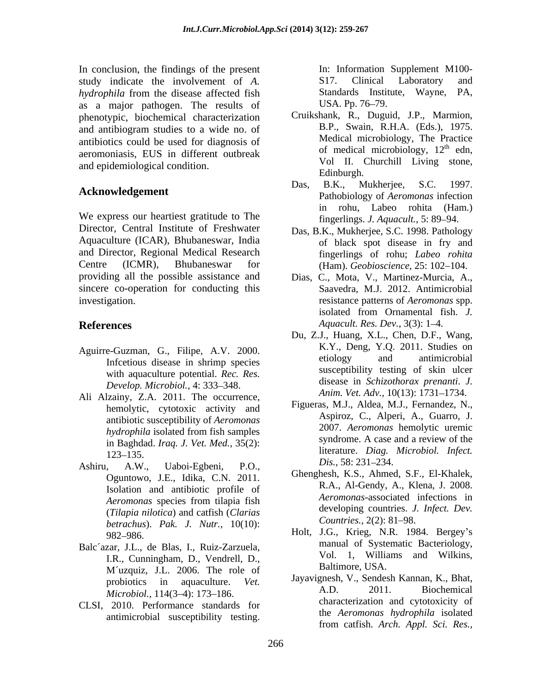In conclusion, the findings of the present<br>study indicate the involvement of A. S17. Clinical Laboratory study indicate the involvement of *A*. S17. Clinical Laboratory and *hydrophila* from the disease affected fish<br>as a major pathogen The results of USA. Pp. 76–79. as a major pathogen. The results of phenotypic, biochemical characterization and antibiogram studies to a wide no. of antibiotics could be used for diagnosis of aeromoniasis, EUS in different outbreak and epidemiological condition.<br>Edinburgh.

We express our heartiest gratitude to The Director, Central Institute of Freshwater Aquaculture (ICAR), Bhubaneswar, India and Director, Regional Medical Research Centre (ICMR), Bhubaneswar for (Ham). *Geobioscience*, 25:102–104. sincere co-operation for conducting this

- Aguirre-Guzman, G., Filipe, A.V. 2000.<br>
Infectious disease in shrimp species and the etiology and antimicrobial Infcetious disease in shrimp species with aquaculture potential. *Rec. Res. Develop. Microbiol., 4: 333-348.*
- Ali Alzainy, Z.A. 2011. The occurrence, hemolytic, cytotoxic activity and antibiotic susceptibility of *Aeromonas*
- Ashiru, A.W., Uaboi-Egbeni, P.O.,  $Dis.$ ,  $55.$   $251-254.$ Oguntowo, J.E., Idika, C.N. 2011. Isolation and antibiotic profile of (*Tilapia nilotica*) and catfish (*Clarias betrachus*). *Pak. J. Nutr.,* 10(10):
- Balc´azar, J.L., de Blas, I., Ruiz-Zarzuela, I.R., Cunningham, D., Vendrell, D., M´uzquiz, J.L. 2006. The role of
- CLSI, 2010. Performance standards for

In: Information Supplement M100- S17. Clinical Laboratory and Standards Institute, Wayne, USA. Pp. 76–79.

- Cruikshank, R., Duguid, J.P., Marmion, B.P., Swain, R.H.A. (Eds.), 1975. Medical microbiology, The Practice of medical microbiology,  $12<sup>th</sup>$  edn,  $\phi$  edn, Vol II. Churchill Living stone, Edinburgh. **Example 2018**
- **Acknowledgement**<br>
Pathobiology of *Aeromonas* infection Das, B.K., Mukherjee, S.C. 1997. in rohu, Labeo rohita (Ham.) fingerlings. *J. Aquacult.*, 5: 89–94.
	- Das, B.K., Mukherjee, S.C. 1998. Pathology of black spot disease in fry and fingerlings of rohu; *Labeo rohita*
- providing all the possible assistance and Dias, C., Mota, V., Martinez-Murcia, A., investigation. resistance patterns of *Aeromonas* spp. **References** *Aquacult. Res. Dev.*, 3(3): 1–4. Saavedra, M.J. 2012. Antimicrobial isolated from Ornamental fish. *J. Aquacult. Res. Dev.,* 3(3): 1–4.
	- Du, Z.J., Huang, X.L., Chen, D.F., Wang, K.Y., Deng, Y.Q. 2011. Studies on etiology and antimicrobial susceptibility testing of skin ulcer disease in *Schizothorax prenanti*. *J. Anim. Vet. Adv.,* 10(13): 1731–1734.
	- *hydrophila* isolated from fish samples *hydrophila* isolated from fish samples in Baghdad. *Iraq. J. Vet. Med.,* 35(2):  $123-135.$  Interature. *Diag. MICrobiol. Inject.* Figueras, M.J., Aldea, M.J., Fernandez, N., Aspiroz, C., Alperi, A., Guarro, J. 2007. *Aeromonas* hemolytic uremic syndrome. A case and a review of the literature. *Diag. Microbiol. Infect. Dis.*, 58: 231–234.
	- *Aeromonas* species from tilapia fish Ghenghesh, K.S., Ahmed, S.F., El-Khalek, R.A., Al-Gendy, A., Klena, J. 2008. *Aeromonas*-associated infections in developing countries. *J. Infect. Dev. Countries., 2(2): 81–98.*
	- 982 986. Holt, J.G., Krieg, N.R. 1984. Bergey's manual of Systematic Bacteriology, Vol. 1, Williams and Wilkins, Baltimore, USA.
	- probiotics in aquaculture. *Vet*. Jayavignesh, v., Sendesh Kannan, K., Bnat, *Microbiol.,* 114(3–4): 173–186. **A.D.** 2011. Biochemical antimicrobial susceptibility testing.<br>
	from catfish. Arch. Appl. Sci. Res., Jayavignesh, V., Sendesh Kannan, K., Bhat, A.D. 2011. Biochemical characterization and cytotoxicity of the *Aeromonas hydrophila* isolated from catfish. *Arch. Appl. Sci. Res.,*